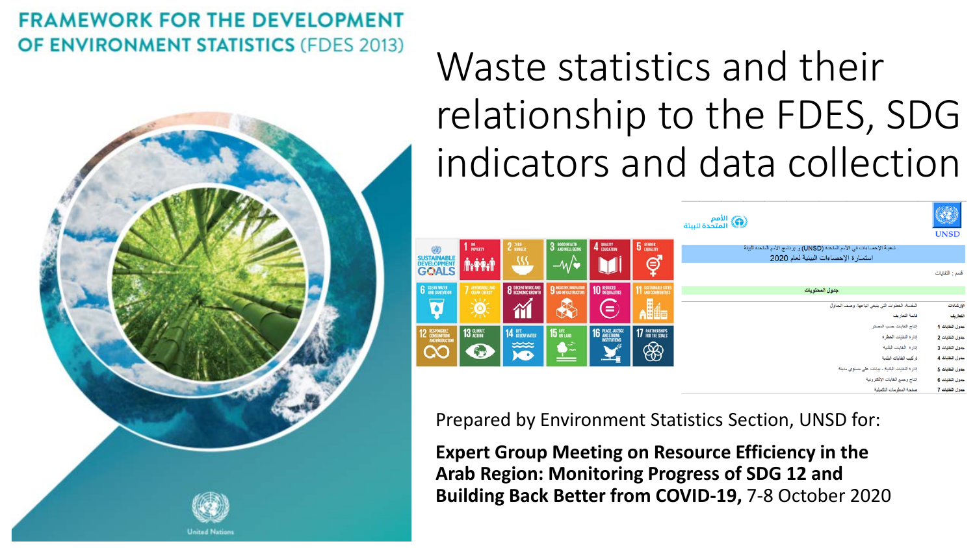### **FRAMEWORK FOR THE DEVELOPMENT OF ENVIRONMENT STATISTICS (FDES 2013)**



# Waste statistics and their relationship to the FDES, SDG indicators and data collection

| الأمم<br>المتحدة للبيئة السيئة التي  |                                              |                                                      |                       |                                |                       |                                                                                                               | ٩<br><b>UNSD</b>                                      |
|--------------------------------------|----------------------------------------------|------------------------------------------------------|-----------------------|--------------------------------|-----------------------|---------------------------------------------------------------------------------------------------------------|-------------------------------------------------------|
| Œ<br>SUSTAINABLE<br>DEVELOPMENT      | 1 NO <sub>POWERTY</sub><br><b><i>MAM</i></b> | $2 \frac{\pi R R}{H \cup H G E R}$<br>32             | 3 SOOD HEALTH<br>$-W$ | 4 BUALITY                      | 5 GENDER<br>$\oint$   | شعبة الإحصاءات في الأمم المتحدة (UNSD) و برنامج الأمم المتحدة للبيئة<br>استمار ة الاحصاءات البيئية لعام 2020  |                                                       |
| <b>GOALS</b><br><b>6</b> GLEAN WATER | 7 AFFORDABLE AND                             | <b>8</b> DECENT WORK AND                             | 9 NEUSTRY, INNOVATION | <b>10 REDUCED</b>              | 11 SUSTAINABLE CITIES | جدول المحتويات                                                                                                | قسم : النفايات                                        |
| $\overline{\bullet}$                 | 澊                                            | M                                                    | 是                     | $=$                            | <b>Alle</b>           | المقتمة، الخطوات التي ينبغي اتباعها، وصف الجداول<br>قائمة الثعاريف<br>إنتاج التفايات حسب المصدر               | الإرشادات<br>اللعاريف<br>جدول النقايات 1              |
| 12 ESPONSIBLE<br>AND PRODUCTION<br>œ | 13 CLIMATE<br>5                              | <b>14 UFE</b> BELOW WATER<br>$x \infty$<br>$\bullet$ | 15 UFE<br>S÷          | <b>16 PEACE JUSTICE</b><br>گان | 17 PARTNERSHIPS<br>❀  | إدارة النفايات الخطرة<br>إدارة النفايات البلدية<br>تركيب النفايات البلدية                                     | جدول النفايات 2<br>جدول النقايات 3<br>جدول النقايات 4 |
|                                      |                                              |                                                      |                       |                                |                       | إدارة التقابات البلدية - بيانات على مستوى مدينة<br>انتاج وجمع النفايات الإلكتر ونية<br>صفحة المعلومات التكمشة | جدول النقابات 5<br>جدول النقايات 6<br>حدول التقابات 7 |

Prepared by Environment Statistics Section, UNSD for:

**Expert Group Meeting on Resource Efficiency in the Arab Region: Monitoring Progress of SDG 12 and Building Back Better from COVID-19,** 7-8 October 2020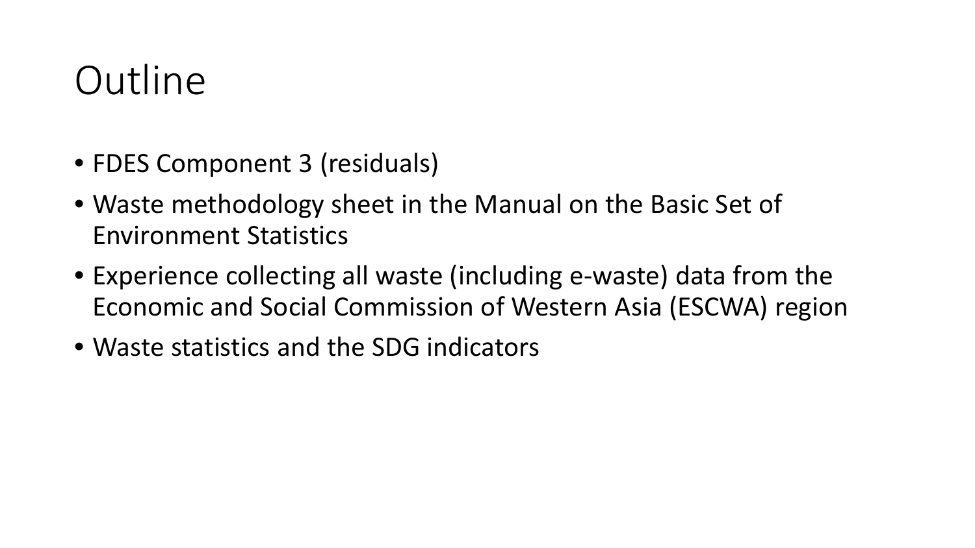## **Outline**

- FDES Component 3 (residuals)
- Waste methodology sheet in the Manual on the Basic Set of Environment Statistics
- Experience collecting all waste (including e-waste) data from the Economic and Social Commission of Western Asia (ESCWA) region
- Waste statistics and the SDG indicators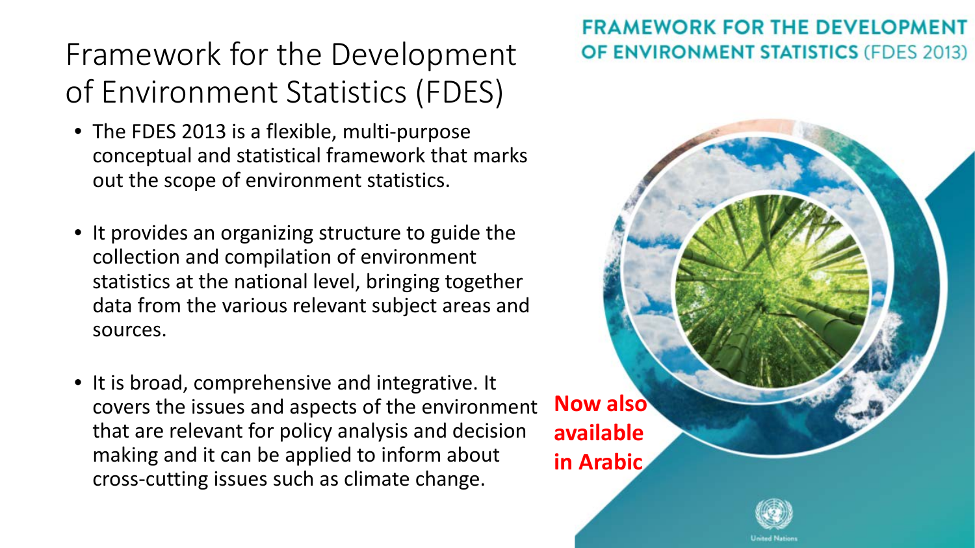### Framework for the Development of Environment Statistics (FDES)

- The FDES 2013 is a flexible, multi-purpose conceptual and statistical framework that marks out the scope of environment statistics.
- It provides an organizing structure to guide the collection and compilation of environment statistics at the national level, bringing together data from the various relevant subject areas and sources.
- It is broad, comprehensive and integrative. It covers the issues and aspects of the environment that are relevant for policy analysis and decision making and it can be applied to inform about cross-cutting issues such as climate change.

**FRAMEWORK FOR THE DEVELOPMENT** 

**OF ENVIRONMENT STATISTICS (FDES 2013)** 

**Now also available in Arabic**

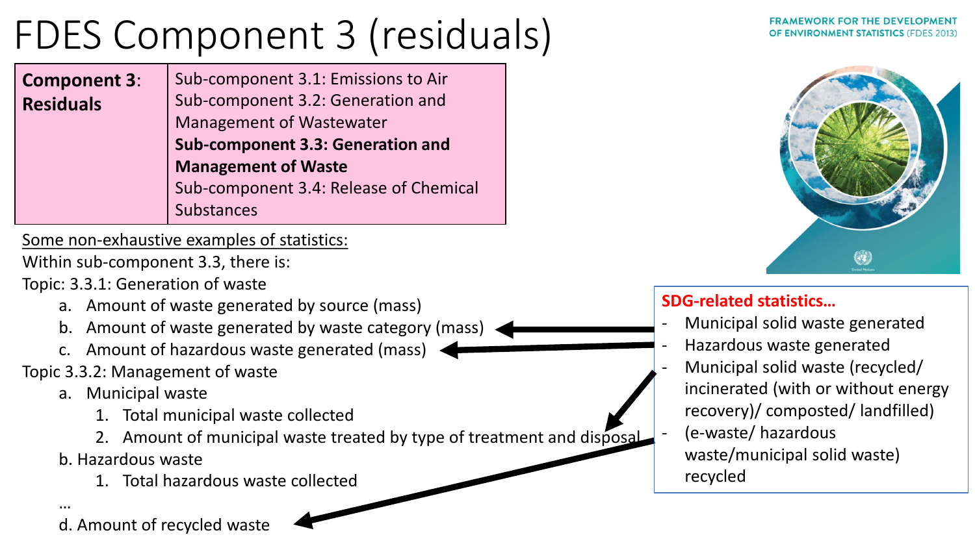## FDES Component 3 (residuals)

**Component 3**: **Residuals** Sub-component 3.1: Emissions to Air Sub-component 3.2: Generation and Management of Wastewater **Sub-component 3.3: Generation and Management of Waste** Sub-component 3.4: Release of Chemical Substances

Some non-exhaustive examples of statistics:

Within sub-component 3.3, there is:

Topic: 3.3.1: Generation of waste

- a. Amount of waste generated by source (mass)
- b. Amount of waste generated by waste category (mass)
- c. Amount of hazardous waste generated (mass)

Topic 3.3.2: Management of waste

- a. Municipal waste
	- 1. Total municipal waste collected
	- 2. Amount of municipal waste treated by type of treatment and disposal
- b. Hazardous waste
	- 1. Total hazardous waste collected

…

d. Amount of recycled waste





### **SDG-related statistics…**

- Municipal solid waste generated
- Hazardous waste generated
- Municipal solid waste (recycled/ incinerated (with or without energy recovery)/ composted/ landfilled)
- (e-waste/ hazardous waste/municipal solid waste) recycled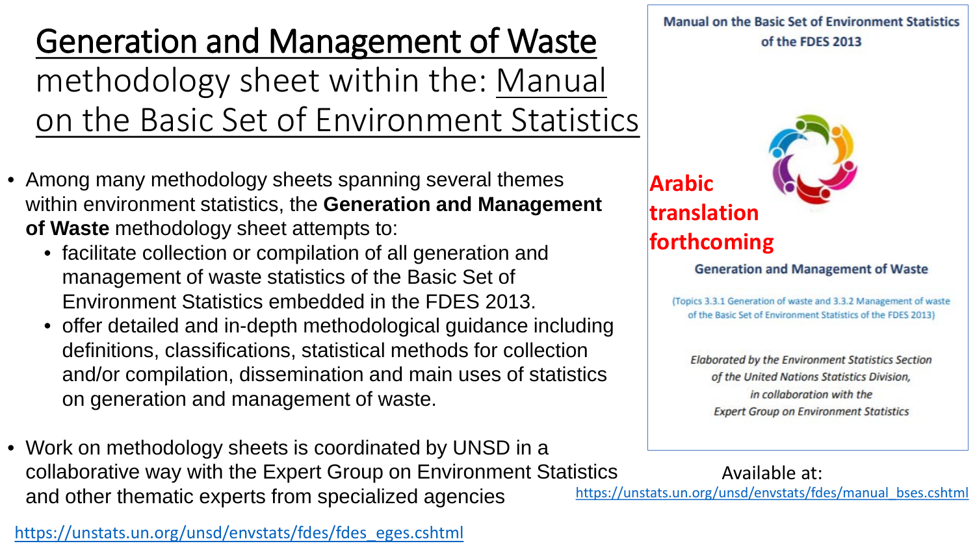Generation and Management of Waste methodology sheet within the: Manual on the Basic Set of Environment Statistics

- Among many methodology sheets spanning several themes within environment statistics, the **Generation and Management of Waste** methodology sheet attempts to:
	- facilitate collection or compilation of all generation and management of waste statistics of the Basic Set of Environment Statistics embedded in the FDES 2013.
	- offer detailed and in-depth methodological guidance including definitions, classifications, statistical methods for collection and/or compilation, dissemination and main uses of statistics on generation and management of waste.
- Work on methodology sheets is coordinated by UNSD in a collaborative way with the Expert Group on Environment Statistics and other thematic experts from specialized agencies

[https://unstats.un.org/unsd/envstats/fdes/fdes\\_eges.cshtml](https://unstats.un.org/unsd/envstats/fdes/fdes_eges.cshtml)

**Manual on the Basic Set of Environment Statistics** of the FDES 2013



**translation forthcoming**

**Generation and Management of Waste** 

(Topics 3.3.1 Generation of waste and 3.3.2 Management of waste of the Basic Set of Environment Statistics of the FDES 2013)

**Elaborated by the Environment Statistics Section** of the United Nations Statistics Division, in collaboration with the **Expert Group on Environment Statistics** 

Available at: [https://unstats.un.org/unsd/envstats/fdes/manual\\_bses.cshtml](https://unstats.un.org/unsd/envstats/fdes/manual_bses.cshtml)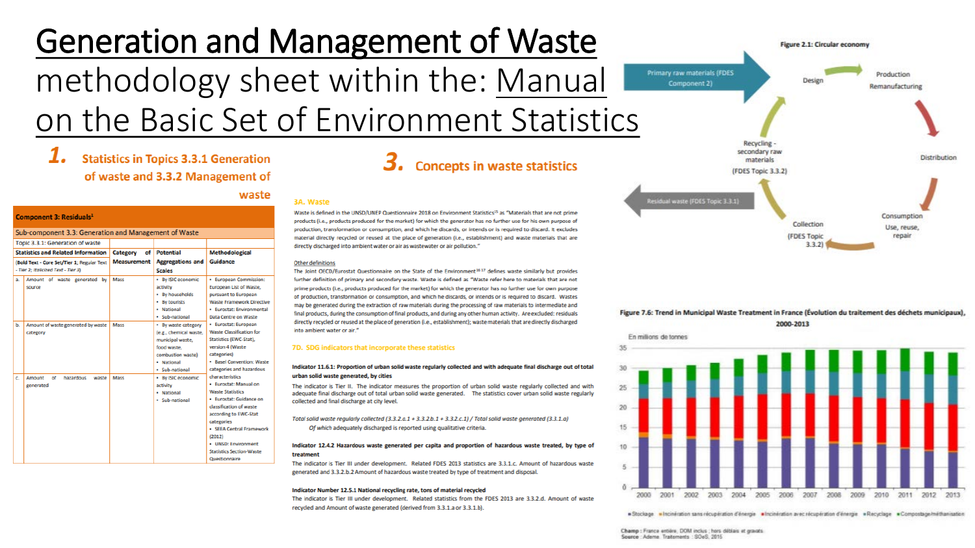## Generation and Management of Waste methodology sheet within the: Manual on the Basic Set of Environment Statistics

### **Statistics in Topics 3.3.1 Generation** of waste and 3.3.2 Management of

### **Component 3: Residuals**

 $\overline{a}$  and  $\overline{a}$  and  $\overline{a}$  are constant and the same

|                | Sub-component 3.3. Generation and Management or Waste                                                                          |                      |                                                                                                                                                                                                                                                                   |                                                                                                                                                                                                                                                                                                                                                                      |  |  |  |  |  |  |
|----------------|--------------------------------------------------------------------------------------------------------------------------------|----------------------|-------------------------------------------------------------------------------------------------------------------------------------------------------------------------------------------------------------------------------------------------------------------|----------------------------------------------------------------------------------------------------------------------------------------------------------------------------------------------------------------------------------------------------------------------------------------------------------------------------------------------------------------------|--|--|--|--|--|--|
|                | Topic 3.3.1: Generation of waste                                                                                               |                      |                                                                                                                                                                                                                                                                   |                                                                                                                                                                                                                                                                                                                                                                      |  |  |  |  |  |  |
|                | <b>Statistics and Related Information</b>                                                                                      | οf<br>Category       | <b>Potential</b>                                                                                                                                                                                                                                                  | <b>Methodological</b>                                                                                                                                                                                                                                                                                                                                                |  |  |  |  |  |  |
|                | (Bold Text - Core Set/Tier 1; Regular Text<br>- Tier 2; Italicized Text - Tier 3)                                              | <b>Measurement</b>   | <b>Aggregations and</b><br><b>Scales</b>                                                                                                                                                                                                                          | Guidance                                                                                                                                                                                                                                                                                                                                                             |  |  |  |  |  |  |
| a.<br>ь.<br>c. | Amount of waste generated by<br>source<br>Amount of waste generated by waste<br>category<br>Amount<br>of<br>hazardous<br>waste | Mass<br>Mass<br>Mass | · By ISIC economic<br>activity<br>· By households<br>• By tourists<br>· National<br>· Sub-national<br>· By waste category<br>(e.g., chemical waste,<br>municipal waste,<br>food waste.<br>combustion waste)<br>· National<br>· Sub-national<br>· By ISIC economic | · European Commission:<br>European List of Waste.<br>pursuant to European<br><b>Waste Framework Directiv</b><br>· Eurostat: Environmental<br>Data Centre on Waste<br>· Eurostat: European<br><b>Waste Classification for</b><br>Statistics (EWC-Stat),<br>version 4 (Waste<br>categories)<br>· Basel Convention: Wast<br>categories and hazardous<br>characteristics |  |  |  |  |  |  |
|                | generated                                                                                                                      |                      | activity<br>· National<br>· Sub-national                                                                                                                                                                                                                          | · Furostat: Manual on<br><b>Waste Statistics</b><br>· Eurostat: Guidance on<br>classification of waste<br>according to EWC-Stat<br>categories<br>· SEEA Central Framework<br>(2012)<br>· UNSD: Environment<br><b>Statistics Section-Waste</b><br>Questionnaire                                                                                                       |  |  |  |  |  |  |

### 3. Concepts in waste statistics

### 3A. Waste

waste

Waste is defined in the UNSD/UNEP Questionnaire 2018 on Environment Statistics<sup>15</sup> as "Materials that are not prime products (i.e., products produced for the market) for which the generator has no further use for his own purpose of production, transformation or consumption, and which he discards, or intends or is required to discard. It excludes material directly recycled or reused at the place of generation (i.e., establishment) and waste materials that are directly discharged into ambient water or air as wastewater or air pollution."

### Other definitions

The Joint OECD/Eurostat Questionnaire on the State of the Environment<sup>36.17</sup> defines waste similarly but provides further definition of primary and secondary waste. Waste is defined as "Waste refer here to materials that are not prime products (i.e., products produced for the market) for which the generator has no further use for own purpose of production, transformation or consumption, and which he discards, or intends or is required to discard. Wastes may be generated during the extraction of raw materials during the processing of raw materials to intermediate and final products, during the consumption of final products, and during any other human activity. Are excluded: residuals directly recycled or reused at the place of generation (i.e., establishment); waste materials that are directly discharged into ambient water or air."

### 7D. SDG indicators that incorporate these statistics

### Indicator 11.6.1: Proportion of urban solid waste regularly collected and with adequate final discharge out of total urban solid waste generated, by cities

The indicator is Tier II. The indicator measures the proportion of urban solid waste regularly collected and with adequate final discharge out of total urban solid waste generated. The statistics cover urban solid waste regularly collected and final discharge at city level.

Total solid waste regularly collected (3.3.2.a.1 + 3.3.2.b.1 + 3.3.2.c.1) / Total solid waste generated (3.3.1.a) Of which adequately discharged is reported using qualitative criteria.

### Indicator 12.4.2 Hazardous waste generated per capita and proportion of hazardous waste treated, by type of treatment

The indicator is Tier III under development. Related FDES 2013 statistics are 3.3.1.c. Amount of hazardous waste generated and 3.3.2.b.2 Amount of hazardous waste treated by type of treatment and disposal.

### Indicator Number 12.5.1 National recycling rate, tons of material recycled

The indicator is Tier III under development. Related statistics from the FDES 2013 are 3.3.2.d. Amount of waste recycled and Amount of waste generated (derived from 3.3.1.a or 3.3.1.b).







· Stockage · Incinération sans récupération d'énergie · Incinération avec récupération d'énergie · Recyclage · Compostage/méthanisation

Champ : France entière, DOM inclus : hors déblais et gravats. Source : Adema Traitements : SOeS. 2015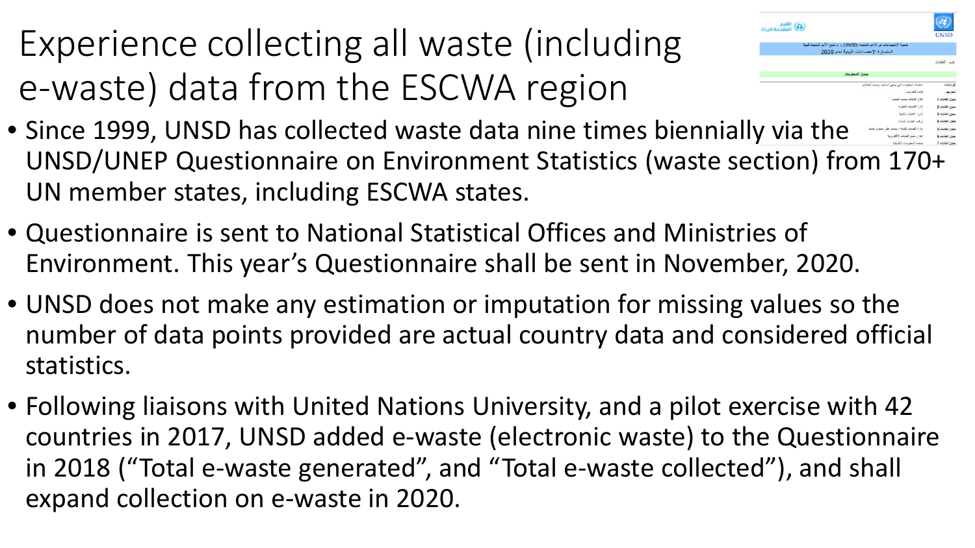Experience collecting all waste (including e-waste) data from the ESCWA region



- Since 1999, UNSD has collected waste data nine times biennially via the UNSD/UNEP Questionnaire on Environment Statistics (waste section) from 170+ UN member states, including ESCWA states.
- Questionnaire is sent to National Statistical Offices and Ministries of Environment. This year's Questionnaire shall be sent in November, 2020.
- UNSD does not make any estimation or imputation for missing values so the number of data points provided are actual country data and considered official statistics.
- Following liaisons with United Nations University, and a pilot exercise with 42 countries in 2017, UNSD added e-waste (electronic waste) to the Questionnaire in 2018 ("Total e-waste generated", and "Total e-waste collected"), and shall expand collection on e-waste in 2020.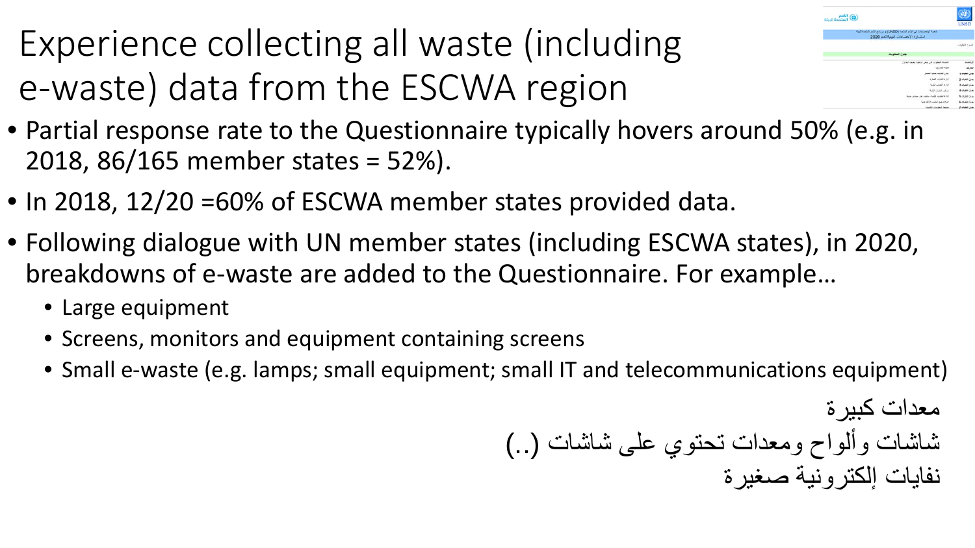Experience collecting all waste (including e-waste) data from the ESCWA region



- Partial response rate to the Questionnaire typically hovers around 50% (e.g. in 2018, 86/165 member states = 52%).
- In 2018, 12/20 = 60% of ESCWA member states provided data.
- Following dialogue with UN member states (including ESCWA states), in 2020, breakdowns of e-waste are added to the Questionnaire. For example…
	- Large equipment
	- Screens, monitors and equipment containing screens
	- Small e-waste (e.g. lamps; small equipment; small IT and telecommunications equipment)

معدات كبیرة شاشات وألواح ومعدات تحتوي على شاشات (..) نفایات إلكترونیة صغیرة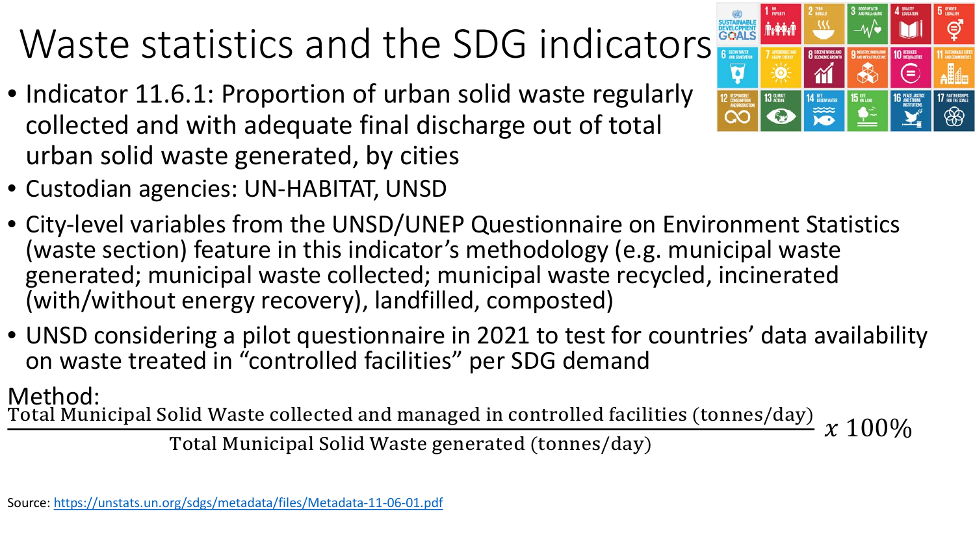# Waste statistics and the SDG indicators

• Indicator 11.6.1: Proportion of urban solid waste regularly collected and with adequate final discharge out of total urban solid waste generated, by cities



- Custodian agencies: UN-HABITAT, UNSD
- City-level variables from the UNSD/UNEP Questionnaire on Environment Statistics (waste section) feature in this indicator's methodology (e.g. municipal waste generated; municipal waste collected; municipal waste recycled, incinerated (with/without energy recovery), landfilled, composted)
- UNSD considering a pilot questionnaire in 2021 to test for countries' data availability on waste treated in "controlled facilities" per SDG demand

### Method:

Total Municipal Solid Waste collected and managed in controlled facilities (tonnes/day)

Total Municipal Solid Waste generated (tonnes/day)  $\frac{1}{2}$   $\frac{1}{2}$   $\frac{100\%}{2}$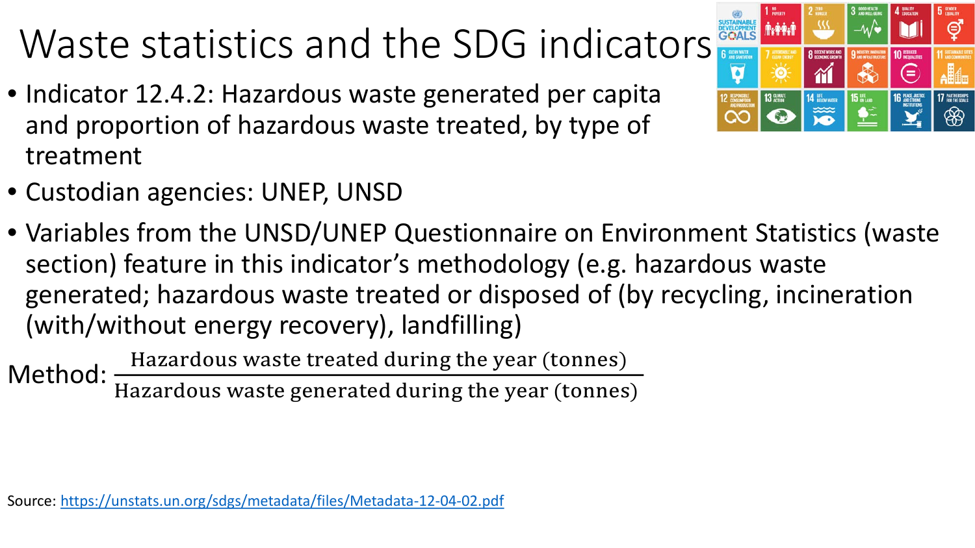# Waste statistics and the SDG indicators

- Indicator 12.4.2: Hazardous waste generated per capita and proportion of hazardous waste treated, by type of treatment
- **6** CLEAN WATER  $\overline{\mathbf{q}}$

⊜

17 PARTNERSHIPS അ

⋐

14 BELOW WATER

**15 UFE** 

- 
- Custodian agencies: UNEP, UNSD
- Variables from the UNSD/UNEP Questionnaire on Environment Statistics (waste section) feature in this indicator's methodology (e.g. hazardous waste generated; hazardous waste treated or disposed of (by recycling, incineration (with/without energy recovery), landfilling)

Method: Hazardous waste treated during the year (tonnes) Hazardous waste generated during the year (tonnes)

Source: <https://unstats.un.org/sdgs/metadata/files/Metadata-12-04-02.pdf>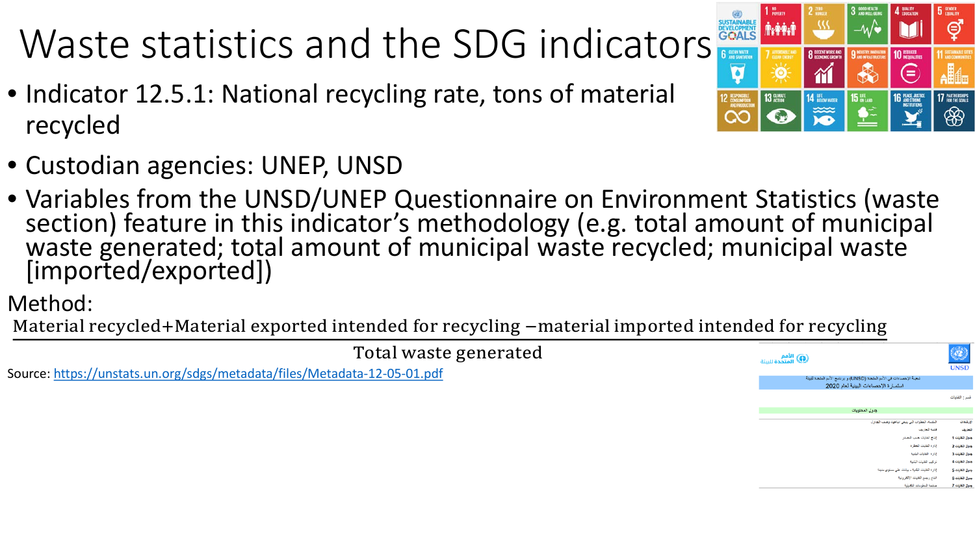# Waste statistics and the SDG indicators

- Indicator 12.5.1: National recycling rate, tons of material recycled
- Custodian agencies: UNEP, UNSD
- Variables from the UNSD/UNEP Questionnaire on Environment Statistics (waste section) feature in this indicator's methodology (e.g. total amount of municipal waste generated; total amount of municipal waste recycled; municipal waste [imported/exported])

Method:

Material recycled+Material exported intended for recycling −material imported intended for recycling



Source: <https://unstats.un.org/sdgs/metadata/files/Metadata-12-05-01.pdf>

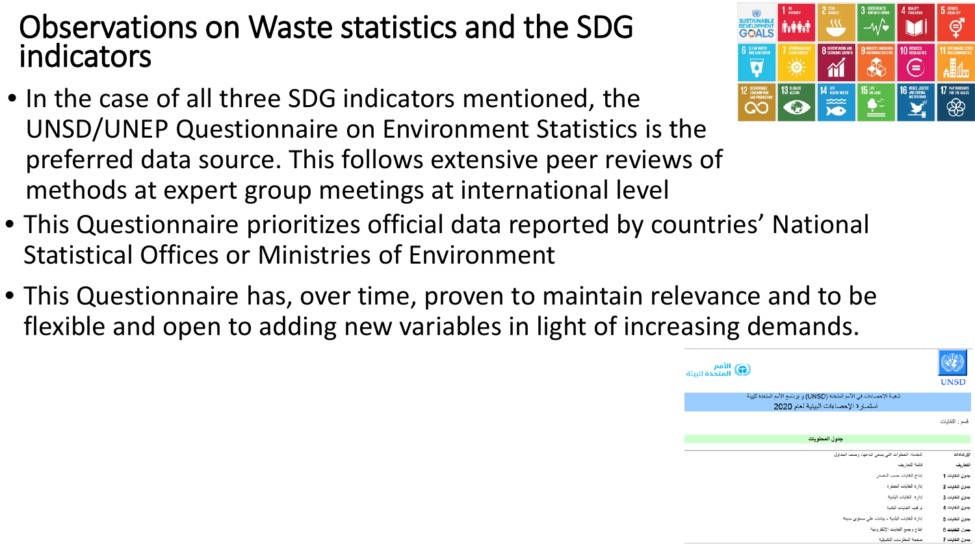### Observations on Waste statistics and the SDG indicators

- In the case of all three SDG indicators mentioned, the UNSD/UNEP Questionnaire on Environment Statistics is the preferred data source. This follows extensive peer reviews of methods at expert group meetings at international level
- This Questionnaire prioritizes official data reported by countries' National Statistical Offices or Ministries of Environment
- This Questionnaire has, over time, proven to maintain relevance and to be flexible and open to adding new variables in light of increasing demands.